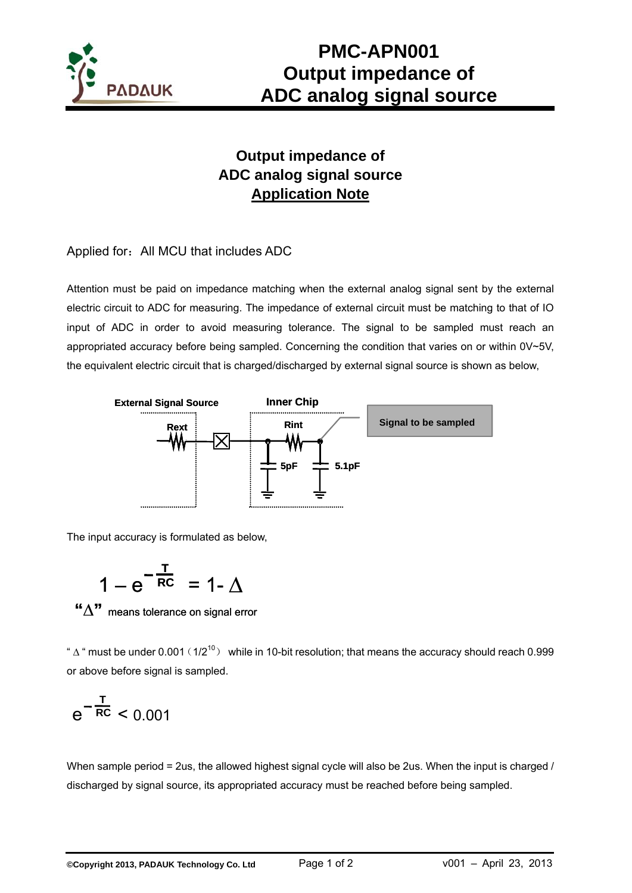

# **PMC-APN001 Output impedance of ADC analog signal source**

## **Output impedance of ADC analog signal source Application Note**

Applied for: All MCU that includes ADC

Attention must be paid on impedance matching when the external analog signal sent by the external electric circuit to ADC for measuring. The impedance of external circuit must be matching to that of IO input of ADC in order to avoid measuring tolerance. The signal to be sampled must reach an appropriated accuracy before being sampled. Concerning the condition that varies on or within 0V~5V, the equivalent electric circuit that is charged/discharged by external signal source is shown as below,



The input accuracy is formulated as below,

$$
1-e^{-\frac{T}{RC}}=1-\Delta
$$

**"∆"** means tolerance on signal error

"  $\Delta$  " must be under 0.001 (1/2<sup>10</sup>) while in 10-bit resolution; that means the accuracy should reach 0.999 or above before signal is sampled.

$$
e^{-\frac{T}{RC}}<0.001
$$

When sample period = 2us, the allowed highest signal cycle will also be 2us. When the input is charged / discharged by signal source, its appropriated accuracy must be reached before being sampled.